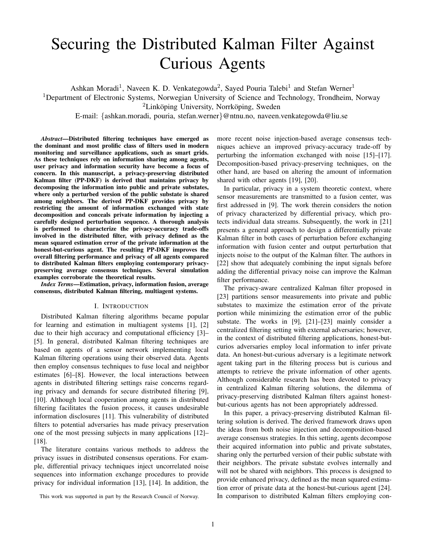# Securing the Distributed Kalman Filter Against Curious Agents

Ashkan Moradi<sup>1</sup>, Naveen K. D. Venkategowda<sup>2</sup>, Sayed Pouria Talebi<sup>1</sup> and Stefan Werner<sup>1</sup>

<sup>1</sup>Department of Electronic Systems, Norwegian University of Science and Technology, Trondheim, Norway

 ${}^{2}$ Linköping University, Norrköping, Sweden

E-mail: {ashkan.moradi, pouria, stefan.werner}@ntnu.no, naveen.venkategowda@liu.se

*Abstract*—Distributed filtering techniques have emerged as the dominant and most prolific class of filters used in modern monitoring and surveillance applications, such as smart grids. As these techniques rely on information sharing among agents, user privacy and information security have become a focus of concern. In this manuscript, a privacy-preserving distributed Kalman filter (PP-DKF) is derived that maintains privacy by decomposing the information into public and private substates, where only a perturbed version of the public substate is shared among neighbors. The derived PP-DKF provides privacy by restricting the amount of information exchanged with state decomposition and conceals private information by injecting a carefully designed perturbation sequence. A thorough analysis is performed to characterize the privacy-accuracy trade-offs involved in the distributed filter, with privacy defined as the mean squared estimation error of the private information at the honest-but-curious agent. The resulting PP-DKF improves the overall filtering performance and privacy of all agents compared to distributed Kalman filters employing contemporary privacypreserving average consensus techniques. Several simulation examples corroborate the theoretical results.

*Index Terms*—Estimation, privacy, information fusion, average consensus, distributed Kalman filtering, multiagent systems.

### I. INTRODUCTION

Distributed Kalman filtering algorithms became popular for learning and estimation in multiagent systems [1], [2] due to their high accuracy and computational efficiency [3]– [5]. In general, distributed Kalman filtering techniques are based on agents of a sensor network implementing local Kalman filtering operations using their observed data. Agents then employ consensus techniques to fuse local and neighbor estimates [6]–[8]. However, the local interactions between agents in distributed filtering settings raise concerns regarding privacy and demands for secure distributed filtering [9], [10]. Although local cooperation among agents in distributed filtering facilitates the fusion process, it causes undesirable information disclosures [11]. This vulnerability of distributed filters to potential adversaries has made privacy preservation one of the most pressing subjects in many applications [12]– [18].

The literature contains various methods to address the privacy issues in distributed consensus operations. For example, differential privacy techniques inject uncorrelated noise sequences into information exchange procedures to provide privacy for individual information [13], [14]. In addition, the more recent noise injection-based average consensus techniques achieve an improved privacy-accuracy trade-off by perturbing the information exchanged with noise [15]–[17]. Decomposition-based privacy-preserving techniques, on the other hand, are based on altering the amount of information shared with other agents [19], [20].

In particular, privacy in a system theoretic context, where sensor measurements are transmitted to a fusion center, was first addressed in [9]. The work therein considers the notion of privacy characterized by differential privacy, which protects individual data streams. Subsequently, the work in [21] presents a general approach to design a differentially private Kalman filter in both cases of perturbation before exchanging information with fusion center and output perturbation that injects noise to the output of the Kalman filter. The authors in [22] show that adequately combining the input signals before adding the differential privacy noise can improve the Kalman filter performance.

The privacy-aware centralized Kalman filter proposed in [23] partitions sensor measurements into private and public substates to maximize the estimation error of the private portion while minimizing the estimation error of the public substate. The works in [9], [21]–[23] mainly consider a centralized filtering setting with external adversaries; however, in the context of distributed filtering applications, honest-butcurios adversaries employ local information to infer private data. An honest-but-curious adversary is a legitimate network agent taking part in the filtering process but is curious and attempts to retrieve the private information of other agents. Although considerable research has been devoted to privacy in centralized Kalman filtering solutions, the dilemma of privacy-preserving distributed Kalman filters against honestbut-curious agents has not been appropriately addressed.

In this paper, a privacy-preserving distributed Kalman filtering solution is derived. The derived framework draws upon the ideas from both noise injection and decomposition-based average consensus strategies. In this setting, agents decompose their acquired information into public and private substates, sharing only the perturbed version of their public substate with their neighbors. The private substate evolves internally and will not be shared with neighbors. This process is designed to provide enhanced privacy, defined as the mean squared estimation error of private data at the honest-but-curious agent [24]. In comparison to distributed Kalman filters employing con-

This work was supported in part by the Research Council of Norway.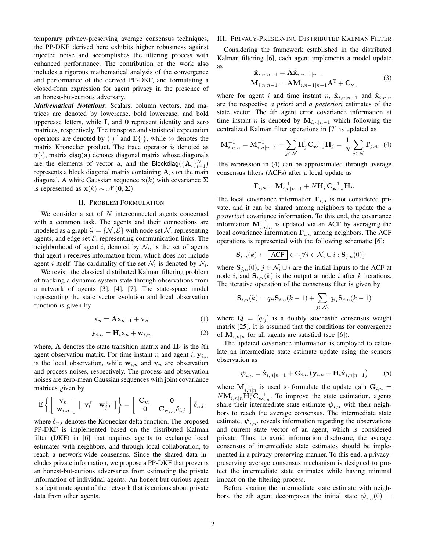temporary privacy-preserving average consensus techniques, the PP-DKF derived here exhibits higher robustness against injected noise and accomplishes the filtering process with enhanced performance. The contribution of the work also includes a rigorous mathematical analysis of the convergence and performance of the derived PP-DKF, and formulating a closed-form expression for agent privacy in the presence of an honest-but-curious adversary.

*Mathematical Notations*: Scalars, column vectors, and matrices are denoted by lowercase, bold lowercase, and bold uppercase letters, while I, and 0 represent identity and zero matrices, respectively. The transpose and statistical expectation operators are denoted by  $(\cdot)^T$  and  $\mathbb{E}\{\cdot\}$ , while  $\otimes$  denotes the matrix Kronecker product. The trace operator is denoted as  $tr(\cdot)$ , matrix diag(a) denotes diagonal matrix whose diagonals are the elements of vector **a**, and the Blockdiag( $\{\mathbf{A}_i\}_{i=1}^N$ ) represents a block diagonal matrix containing  $A_i$ s on the main diagonal. A white Gaussian sequence  $x(k)$  with covariance  $\Sigma$ is represented as  $\mathbf{x}(k) \sim \mathcal{N}(\mathbf{0}, \mathbf{\Sigma}).$ 

## II. PROBLEM FORMULATION

We consider a set of  $N$  interconnected agents concerned with a common task. The agents and their connections are modeled as a graph  $\mathcal{G} = \{ \mathcal{N}, \mathcal{E} \}$  with node set  $\mathcal{N}$ , representing agents, and edge set  $\mathcal{E}$ , representing communication links. The neighborhood of agent *i*, denoted by  $\mathcal{N}_i$ , is the set of agents that agent  $i$  receives information from, which does not include agent *i* itself. The cardinality of the set  $\mathcal{N}_i$  is denoted by  $N_i$ .

We revisit the classical distributed Kalman filtering problem of tracking a dynamic system state through observations from a network of agents [3], [4], [7]. The state-space model representing the state vector evolution and local observation function is given by

$$
\mathbf{x}_n = \mathbf{A}\mathbf{x}_{n-1} + \mathbf{v}_n \tag{1}
$$

$$
\mathbf{y}_{i,n} = \mathbf{H}_i \mathbf{x}_n + \mathbf{w}_{i,n} \tag{2}
$$

where, **A** denotes the state transition matrix and  $H_i$  is the *i*th agent observation matrix. For time instant n and agent i,  $y_{i,n}$ is the local observation, while  $w_{i,n}$  and  $v_n$  are observation and process noises, respectively. The process and observation noises are zero-mean Gaussian sequences with joint covariance matrices given by

$$
\mathbb{E}\left\{ \left[\begin{array}{cc} \mathbf{v}_n \\ \mathbf{w}_{i,n} \end{array}\right] \left[\begin{array}{cc} \mathbf{v}_l^{\mathrm{T}} & \mathbf{w}_{j,l}^{\mathrm{T}} \end{array}\right] \right\} = \left[\begin{array}{cc} \mathbf{C}_{\mathbf{v}_n} & \mathbf{0} \\ \mathbf{0} & \mathbf{C}_{\mathbf{w}_{i,n}} \delta_{i,j} \end{array}\right] \delta_{n,l}
$$

where  $\delta_{n,l}$  denotes the Kronecker delta function. The proposed PP-DKF is implemented based on the distributed Kalman filter (DKF) in [6] that requires agents to exchange local estimates with neighbors, and through local collaboration, to reach a network-wide consensus. Since the shared data includes private information, we propose a PP-DKF that prevents an honest-but-curious adversaries from estimating the private information of individual agents. An honest-but-curious agent is a legitimate agent of the network that is curious about private data from other agents.

## III. PRIVACY-PRESERVING DISTRIBUTED KALMAN FILTER

Considering the framework established in the distributed Kalman filtering [6], each agent implements a model update as

$$
\hat{\mathbf{x}}_{i,n|n-1} = \mathbf{A}\hat{\mathbf{x}}_{i,n-1|n-1}
$$
\n
$$
\mathbf{M}_{i,n|n-1} = \mathbf{A}\mathbf{M}_{i,n-1|n-1}\mathbf{A}^{\mathrm{T}} + \mathbf{C}_{\mathbf{v}_n}
$$
\n(3)

where for agent i and time instant n,  $\hat{\mathbf{x}}_{i,n|n-1}$  and  $\hat{\mathbf{x}}_{i,n|n}$ are the respective *a priori* and *a posteriori* estimates of the state vector. The ith agent error covariance information at time instant *n* is denoted by  $M_{i,n|n-1}$  which following the centralized Kalman filter operations in [7] is updated as

$$
\mathbf{M}_{i,n|n}^{-1} = \mathbf{M}_{i,n|n-1}^{-1} + \sum_{j \in \mathcal{N}} \mathbf{H}_{j}^{\mathrm{T}} \mathbf{C}_{\mathbf{w}_{j,n}}^{-1} \mathbf{H}_{j} = \frac{1}{N} \sum_{j \in \mathcal{N}} \mathbf{\Gamma}_{j,n}.
$$
 (4)

The expression in (4) can be approximated through average consensus filters (ACFs) after a local update as

$$
\boldsymbol{\Gamma}_{i,n} = \mathbf{M}_{i,n|n-1}^{-1} + N \mathbf{H}_{i}^{\mathrm{T}} \mathbf{C}_{\mathbf{w}_{i,n}}^{-1} \mathbf{H}_{i}.
$$

The local covariance information  $\Gamma_{i,n}$  is not considered private, and it can be shared among neighbors to update the *a posteriori* covariance information. To this end, the covariance information  $M_{i,n|n}^{-1}$  is updated via an ACF by averaging the local covariance information  $\Gamma_{i,n}$  among neighbors. The ACF operations is represented with the following schematic [6]:

$$
\mathbf{S}_{i,n}(k) \leftarrow \boxed{\text{ACF}} \leftarrow \{ \forall j \in \mathcal{N}_i \cup i : \mathbf{S}_{j,n}(0) \}
$$

where  $\mathbf{S}_{j,n}(0)$ ,  $j \in \mathcal{N}_i \cup i$  are the initial inputs to the ACF at node i, and  $S_{i,n}(k)$  is the output at node i after k iterations. The iterative operation of the consensus filter is given by

$$
\mathbf{S}_{i,n}(k) = q_{ii}\mathbf{S}_{i,n}(k-1) + \sum_{j \in \mathcal{N}_i} q_{ij}\mathbf{S}_{j,n}(k-1)
$$

where  $\mathbf{Q} = [q_{ij}]$  is a doubly stochastic consensus weight matrix [25]. It is assumed that the conditions for convergence of  $M_{i,n|n}$  for all agents are satisfied (see [6]).

The updated covariance information is employed to calculate an intermediate state estimate update using the sensors observation as

$$
\boldsymbol{\psi}_{i,n} = \hat{\mathbf{x}}_{i,n|n-1} + \mathbf{G}_{i,n} \left( \mathbf{y}_{i,n} - \mathbf{H}_i \hat{\mathbf{x}}_{i,n|n-1} \right) \tag{5}
$$

where  $\mathbf{M}_{i,n|n}^{-1}$  is used to formulate the update gain  $\mathbf{G}_{i,n} =$  $N M_{i,n|n} \mathbf{H}_{i}^{\mathrm{T}} \mathbf{C}_{\mathbf{w}_{i,n}}^{-1}$ . To improve the state estimation, agents share their intermediate state estimate  $\psi_{i,n}$  with their neighbors to reach the average consensus. The intermediate state estimate,  $\psi_{i,n}$ , reveals information regarding the observations and current state vector of an agent, which is considered private. Thus, to avoid information disclosure, the average consensus of intermediate state estimates should be implemented in a privacy-preserving manner. To this end, a privacypreserving average consensus mechanism is designed to protect the intermediate state estimates while having minimal impact on the filtering process.

Before sharing the intermediate state estimate with neighbors, the *i*th agent decomposes the initial state  $\psi_{i,n}(0)$  =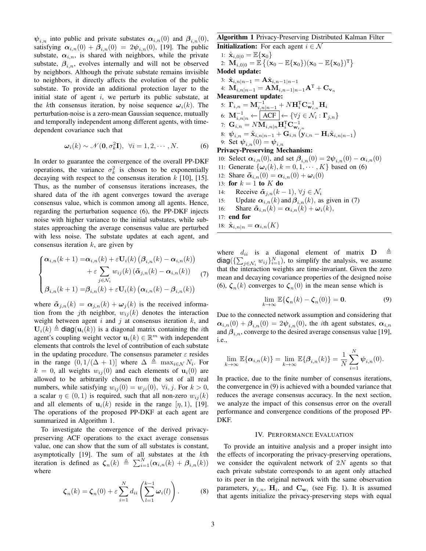$\psi_{i,n}$  into public and private substates  $\alpha_{i,n}(0)$  and  $\beta_{i,n}(0)$ , satisfying  $\alpha_{i,n}(0) + \beta_{i,n}(0) = 2\psi_{i,n}(0)$ , [19]. The public substate,  $\alpha_{i,n}$ , is shared with neighbors, while the private substate,  $\beta_{i,n}$ , evolves internally and will not be observed by neighbors. Although the private substate remains invisible to neighbors, it directly affects the evolution of the public substate. To provide an additional protection layer to the initial state of agent  $i$ , we perturb its public substate, at the kth consensus iteration, by noise sequence  $\omega_i(k)$ . The perturbation-noise is a zero-mean Gaussian sequence, mutually and temporally independent among different agents, with timedependent covariance such that

$$
\boldsymbol{\omega}_i(k) \sim \mathcal{N}(\mathbf{0}, \sigma_k^2 \mathbf{I}), \ \forall i = 1, 2, \cdots, N. \tag{6}
$$

In order to guarantee the convergence of the overall PP-DKF operations, the variance  $\sigma_k^2$  is chosen to be exponentially decaying with respect to the consensus iteration  $k$  [10], [15]. Thus, as the number of consensus iterations increases, the shared data of the ith agent converges toward the average consensus value, which is common among all agents. Hence, regarding the perturbation sequence (6), the PP-DKF injects noise with higher variance to the initial substates, while substates approaching the average consensus value are perturbed with less noise. The substate updates at each agent, and consensus iteration  $k$ , are given by

$$
\begin{cases}\n\alpha_{i,n}(k+1) = \alpha_{i,n}(k) + \varepsilon \mathbf{U}_i(k) \left( \beta_{i,n}(k) - \alpha_{i,n}(k) \right) \\
+ \varepsilon \sum_{j \in \mathcal{N}_i} w_{ij}(k) \left( \tilde{\alpha}_{j,n}(k) - \alpha_{i,n}(k) \right) \\
\beta_{i,n}(k+1) = \beta_{i,n}(k) + \varepsilon \mathbf{U}_i(k) \left( \alpha_{i,n}(k) - \beta_{i,n}(k) \right)\n\end{cases} (7)
$$

where  $\tilde{\alpha}_{j,n}(k) = \alpha_{j,n}(k) + \omega_j(k)$  is the received information from the j<sup>th</sup> neighbor,  $w_{ij}(k)$  denotes the interaction weight between agent i and j at consensus iteration  $k$ , and  $\mathbf{U}_i(k) \triangleq \text{diag}(\mathbf{u}_i(k))$  is a diagonal matrix containing the *i*th agent's coupling weight vector  $\mathbf{u}_i(k) \in \mathbb{R}^m$  with independent elements that controls the level of contribution of each substate in the updating procedure. The consensus parameter  $\varepsilon$  resides in the range  $(0, 1/(\Delta + 1))$  where  $\Delta \triangleq \max_{i \in \mathcal{N}} N_i$ . For  $k = 0$ , all weights  $w_{ij}(0)$  and each elements of  $u_i(0)$  are allowed to be arbitrarily chosen from the set of all real numbers, while satisfying  $w_{ij}(0) = w_{ji}(0)$ ,  $\forall i, j$ . For  $k > 0$ , a scalar  $\eta \in (0, 1)$  is required, such that all non-zero  $w_{ii}(k)$ and all elements of  $u_i(k)$  reside in the range  $[\eta, 1)$ , [19]. The operations of the proposed PP-DKF at each agent are summarized in Algorithm 1.

To investigate the convergence of the derived privacypreserving ACF operations to the exact average consensus value, one can show that the sum of all substates is constant, asymptotically [19]. The sum of all substates at the kth iteration is defined as  $\zeta_n(k) \triangleq \sum_{i=1}^N (\alpha_{i,n}(k) + \beta_{i,n}(k))$ where

$$
\zeta_n(k) = \zeta_n(0) + \varepsilon \sum_{i=1}^N d_{ii} \left( \sum_{l=1}^{k-1} \omega_i(l) \right).
$$
 (8)

## Algorithm 1 Privacy-Preserving Distributed Kalman Filter

**Initialization:** For each agent  $i \in \mathcal{N}$ 1:  $\hat{\mathbf{x}}_{i,0|0} = \mathbb{E}\{\mathbf{x}_0\}$ 2:  $\mathbf{M}_{i,0|0} = \mathbb{E} \left\{ (\mathbf{x}_0 - \mathbb{E} \{ \mathbf{x}_0 \}) (\mathbf{x}_0 - \mathbb{E} \{ \mathbf{x}_0 \})^\text{T} \right\}$ Model update: 3:  $\hat{\mathbf{x}}_{i,n|n-1} = \mathbf{A}\hat{\mathbf{x}}_{i,n-1|n-1}$ 4:  $\mathbf{M}_{i,n|n-1} = \mathbf{A} \mathbf{M}_{i,n-1|n-1} \mathbf{A}^{\mathrm{T}} + \mathbf{C}_{\mathbf{v}_n}$ Measurement update: 5:  $\mathbf{\Gamma}_{i,n} = \mathbf{M}_{i,n|n-1}^{-1} + N \mathbf{H}_{i}^{\text{T}} \mathbf{C}_{\mathbf{w}_{i,n}}^{-1} \mathbf{H}_{i}$  $\mathrm{6}\mathrm{:}~~\mathbf{M}_{i,n|n}^{-1} \leftarrow \boxed{\mathrm{ACF}} \leftarrow \{\forall j \in \mathcal{N}_i: \mathbf{\Gamma}_{j,n}\}$ 7:  $\mathbf{G}_{i,n} = N \mathbf{M}_{i,n|n} \mathbf{H}_{i}^{\mathrm{T}} \mathbf{C}_{\mathbf{w}_{i,n}}^{-1}$ 8:  $\boldsymbol{\psi}_{i,n} = \hat{\mathbf{x}}_{i,n|n-1} + \mathbf{G}_{i,n} \left(\mathbf{y}_{i,n} - \mathbf{H}_i \hat{\mathbf{x}}_{i,n|n-1}\right)$ 9: Set  $\psi_{i,n}(0) = \psi_{i,n}$ Privacy-Preserving Mechanism: 10: Select  $\alpha_{i,n}(0)$ , and set  $\beta_{i,n}(0) = 2\psi_{i,n}(0) - \alpha_{i,n}(0)$ 11: Generate  $\{\omega_i(k), k = 0, 1, \cdots, K\}$  based on (6) 12: Share  $\tilde{\boldsymbol{\alpha}}_{i,n}(0) = \boldsymbol{\alpha}_{i,n}(0) + \boldsymbol{\omega}_i(0)$ 13: for  $k = 1$  to  $K$  do 14: Receive  $\tilde{\boldsymbol{\alpha}}_{i,n}(k-1), \forall j \in \mathcal{N}_i$ 15: Update  $\alpha_{i,n}(k)$  and  $\beta_{i,n}(k)$ , as given in (7) 16: Share  $\tilde{\boldsymbol{\alpha}}_{i,n}(k) = \boldsymbol{\alpha}_{i,n}(k) + \boldsymbol{\omega}_i(k),$ 17: end for 18:  $\hat{\mathbf{x}}_{i,n|n} = \alpha_{i,n}(K)$ 

where  $d_{ii}$  is a diagonal element of matrix  $\mathbf{D} \triangleq$ diag( $\{\sum_{j \in \mathcal{N}_i} w_{ij}\}_{i=1}^N$ ), to simplify the analysis, we assume that the interaction weights are time-invariant. Given the zero mean and decaying covariance properties of the designed noise (6),  $\zeta_n(k)$  converges to  $\zeta_n(0)$  in the mean sense which is

$$
\lim_{k \to \infty} \mathbb{E}\{\zeta_n(k) - \zeta_n(0)\} = \mathbf{0}.\tag{9}
$$

Due to the connected network assumption and considering that  $\alpha_{i,n}(0) + \beta_{i,n}(0) = 2\psi_{i,n}(0)$ , the *i*th agent substates,  $\alpha_{i,n}$ and  $\beta_{i,n}$ , converge to the desired average consensus value [19], i.e.,

$$
\lim_{k \to \infty} \mathbb{E}\{\alpha_{i,n}(k)\} = \lim_{k \to \infty} \mathbb{E}\{\beta_{i,n}(k)\} = \frac{1}{N} \sum_{i=1}^N \psi_{i,n}(0).
$$

In practice, due to the finite number of consensus iterations, the convergence in (9) is achieved with a bounded variance that reduces the average consensus accuracy. In the next section, we analyze the impact of this consensus error on the overall performance and convergence conditions of the proposed PP-DKF.

#### IV. PERFORMANCE EVALUATION

To provide an intuitive analysis and a proper insight into the effects of incorporating the privacy-preserving operations, we consider the equivalent network of  $2N$  agents so that each private substate corresponds to an agent only attached to its peer in the original network with the same observation parameters,  $y_{i,n}$ ,  $H_i$ , and  $C_{w_i}$  (see Fig. 1). It is assumed that agents initialize the privacy-preserving steps with equal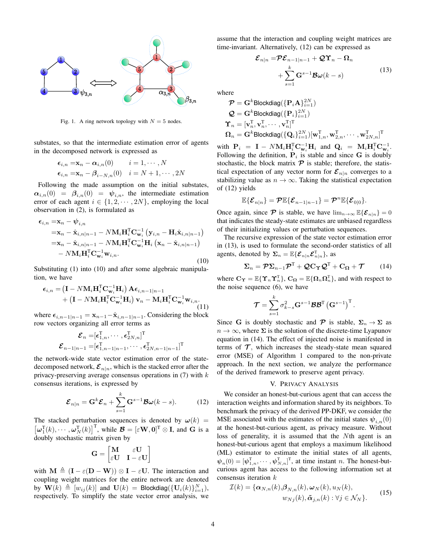

Fig. 1. A ring network topology with  $N = 5$  nodes.

substates, so that the intermediate estimation error of agents in the decomposed network is expressed as

$$
\epsilon_{i,n} = \mathbf{x}_n - \alpha_{i,n}(0) \qquad i = 1, \cdots, N
$$
  

$$
\epsilon_{i,n} = \mathbf{x}_n - \beta_{i-N,n}(0) \qquad i = N+1, \cdots, 2N
$$

Following the made assumption on the initial substates,  $\alpha_{i,n}(0) = \beta_{i,n}(0) = \psi_{i,n}$ , the intermediate estimation error of each agent  $i \in \{1, 2, \dots, 2N\}$ , employing the local observation in (2), is formulated as

$$
\epsilon_{i,n} = \mathbf{x}_n - \psi_{i,n} \n= \mathbf{x}_n - \hat{\mathbf{x}}_{i,n|n-1} - N \mathbf{M}_i \mathbf{H}_i^{\mathrm{T}} \mathbf{C}_{\mathbf{w}_i}^{-1} (\mathbf{y}_{i,n} - \mathbf{H}_i \hat{\mathbf{x}}_{i,n|n-1}) \n= \mathbf{x}_n - \hat{\mathbf{x}}_{i,n|n-1} - N \mathbf{M}_i \mathbf{H}_i^{\mathrm{T}} \mathbf{C}_{\mathbf{w}_i}^{-1} \mathbf{H}_i (\mathbf{x}_n - \hat{\mathbf{x}}_{i,n|n-1}) \n- N \mathbf{M}_i \mathbf{H}_i^{\mathrm{T}} \mathbf{C}_{\mathbf{w}_i}^{-1} \mathbf{w}_{i,n}.
$$
\n(10)

Substituting (1) into (10) and after some algebraic manipulation, we have

$$
\epsilon_{i,n} = (\mathbf{I} - N\mathbf{M}_i\mathbf{H}_i^{\mathrm{T}}\mathbf{C}_{\mathbf{w}_i}^{-1}\mathbf{H}_i) \mathbf{A}\epsilon_{i,n-1|n-1} + (\mathbf{I} - N\mathbf{M}_i\mathbf{H}_i^{\mathrm{T}}\mathbf{C}_{\mathbf{w}_i}^{-1}\mathbf{H}_i) \mathbf{v}_n - \mathbf{M}_i\mathbf{H}_i^{\mathrm{T}}\mathbf{C}_{\mathbf{w}_i}^{-1}\mathbf{w}_{i,n}.
$$
\n(11)

where  $\epsilon_{i,n-1|n-1} = \mathbf{x}_{n-1} - \hat{\mathbf{x}}_{i,n-1|n-1}$ . Considering the block row vectors organizing all error terms as

$$
\bm{\mathcal{E}}_n = \![\bm{\epsilon}_{1,n}^\text{T},\cdots,\bm{\epsilon}_{2N,n}^\text{T} ]^\text{T} \\ \bm{\mathcal{E}}_{n-1|n-1} = \![\bm{\epsilon}_{1,n-1|n-1}^\text{T},\cdots,\bm{\epsilon}_{2N,n-1|n-1}^\text{T} ]^\text{T}
$$

the network-wide state vector estimation error of the statedecomposed network,  $\mathcal{E}_{n|n}$ , which is the stacked error after the privacy-preserving average consensus operations in  $(7)$  with  $k$ consensus iterations, is expressed by

$$
\boldsymbol{\mathcal{E}}_{n|n} = \mathbf{G}^k \boldsymbol{\mathcal{E}}_n + \sum_{s=1}^k \mathbf{G}^{s-1} \boldsymbol{\mathcal{B}} \boldsymbol{\omega}(k-s).
$$
 (12)

The stacked perturbation sequences is denoted by  $\omega(k)$  =  $\left[\boldsymbol{\omega}_1^{\mathrm{T}}(k),\cdots,\boldsymbol{\omega}_N^{\mathrm{T}}(k)\right]^{\mathrm{T}}$ , while  $\boldsymbol{\mathcal{B}} = \left[\varepsilon \mathbf{W},\mathbf{0}\right]^{\mathrm{T}} \otimes \mathbf{I}$ , and G is a doubly stochastic matrix given by

$$
\mathbf{G} = \begin{bmatrix} \mathbf{M} & \varepsilon \mathbf{U} \\ \varepsilon \mathbf{U} & \mathbf{I} - \varepsilon \mathbf{U} \end{bmatrix}
$$

with  $\mathbf{M} \triangleq (\mathbf{I} - \varepsilon(\mathbf{D} - \mathbf{W})) \otimes \mathbf{I} - \varepsilon \mathbf{U}$ . The interaction and coupling weight matrices for the entire network are denoted by  $\mathbf{W}(k) \triangleq [w_{ij}(k)]$  and  $\mathbf{U}(k) = \mathsf{Blockdiag}(\{\mathbf{U}_i(k)\}_{i=1}^N)$ , respectively. To simplify the state vector error analysis, we assume that the interaction and coupling weight matrices are time-invariant. Alternatively, (12) can be expressed as

$$
\mathcal{E}_{n|n} = \mathcal{P}\mathcal{E}_{n-1|n-1} + \mathcal{Q}\Upsilon_n - \Omega_n
$$
  
+ 
$$
\sum_{s=1}^k \mathbf{G}^{s-1} \mathcal{B}\omega(k-s)
$$
 (13)

where

$$
\begin{aligned} &\mathcal{P} = \mathbf{G}^k\text{Blockdiag}(\{\mathbf{P}_i\mathbf{A}\}_{i=1}^{2N}) \\ &\mathcal{Q} = \mathbf{G}^k\text{Blockdiag}(\{\mathbf{P}_i\}_{i=1}^{2N}) \\ &\boldsymbol{\Upsilon}_n = [\mathbf{v}_n^{\text{T}}, \mathbf{v}_n^{\text{T}}, \cdots, \mathbf{v}_n^{\text{T}}]^{\text{T}} \\ &\boldsymbol{\Omega}_n = \mathbf{G}^k\text{Blockdiag}(\{\mathbf{Q}_i\}_{i=1}^{2N})[\mathbf{w}_{1,n}^{\text{T}}, \mathbf{w}_{2,n}^{\text{T}}, \cdots, \mathbf{w}_{2N,n}^{\text{T}}]^{\text{T}} \end{aligned}
$$

with  $P_i = I - NM_iH_i^TC_{\mathbf{w}_i}^{-1}\mathbf{H}_i$  and  $\mathbf{Q}_i = M_iH_i^TC_{\mathbf{w}_i}^{-1}$ . Following the definition,  $P_i$  is stable and since G is doubly stochastic, the block matrix  $\mathcal P$  is stable; therefore, the statistical expectation of any vector norm for  $\mathcal{E}_{n|n}$  converges to a stabilizing value as  $n \to \infty$ . Taking the statistical expectation of (12) yields

$$
\mathbb{E}\{\boldsymbol{\mathcal{E}}_{n|n}\}=\boldsymbol{\mathcal{P}}\mathbb{E}\{\boldsymbol{\mathcal{E}}_{n-1|n-1}\}=\boldsymbol{\mathcal{P}}^n\mathbb{E}\{\boldsymbol{\mathcal{E}}_{0|0}\}.
$$

Once again, since  $\mathcal P$  is stable, we have  $\lim_{n\to\infty} \mathbb E{\{\mathcal E}_{n|n}\}=0$ that indicates the steady-state estimates are unbiased regardless of their initializing values or perturbation sequences.

The recursive expression of the state vector estimation error in (13), is used to formulate the second-order statistics of all agents, denoted by  $\Sigma_n = \mathbb{E}\{\mathcal{E}_{n|n} \mathcal{E}_{n|n}^{\mathrm{T}}\}$ , as

$$
\Sigma_n = \mathcal{P}\Sigma_{n-1}\mathcal{P}^{\mathrm{T}} + \mathcal{Q}\mathbf{C}_{\mathrm{T}}\mathcal{Q}^{\mathrm{T}} + \mathbf{C}_{\Omega} + \mathcal{T}
$$
 (14)

where  $C_{\Upsilon} = \mathbb{E} \{ \Upsilon_n \Upsilon_n^{\mathsf{T}} \}, C_{\Omega} = \mathbb{E} \{ \Omega_n \Omega_n^{\mathsf{T}} \},$  and with respect to the noise sequence (6), we have

$$
\boldsymbol{\mathcal{T}} = \sum_{s=1}^k \sigma_{k-s}^2 \mathbf{G}^{s-1} \boldsymbol{\mathcal{B}} \boldsymbol{\mathcal{B}}^{\text{T}} \left(\mathbf{G}^{s-1}\right)^{\text{T}}.
$$

Since G is doubly stochastic and P is stable,  $\Sigma_n \to \Sigma$  as  $n \to \infty$ , where  $\Sigma$  is the solution of the discrete-time Lyapunov equation in (14). The effect of injected noise is manifested in terms of  $\mathcal{T}$ , which increases the steady-state mean squared error (MSE) of Algorithm 1 compared to the non-private approach. In the next section, we analyze the performance of the derived framework to preserve agent privacy.

#### V. PRIVACY ANALYSIS

We consider an honest-but-curious agent that can access the interaction weights and information shared by its neighbors. To benchmark the privacy of the derived PP-DKF, we consider the MSE associated with the estimates of the initial states  $\psi_{i,n}(0)$ at the honest-but-curious agent, as privacy measure. Without loss of generality, it is assumed that the Nth agent is an honest-but-curious agent that employs a maximum likelihood (ML) estimator to estimate the initial states of all agents,  $\psi_n(0) = [\psi_{1,n}^T, \dots, \psi_{N,n}^T]^T$ , at time instant *n*. The honest-butcurious agent has access to the following information set at consensus iteration k

$$
\mathcal{I}(k) = {\boldsymbol{\alpha}_{N,n}(k), \boldsymbol{\beta}_{N,n}(k), \boldsymbol{\omega}_N(k), u_N(k),
$$
  
\n
$$
w_{Nj}(k), \tilde{\boldsymbol{\alpha}}_{j,n}(k) : \forall j \in \mathcal{N}_N.
$$
\n(15)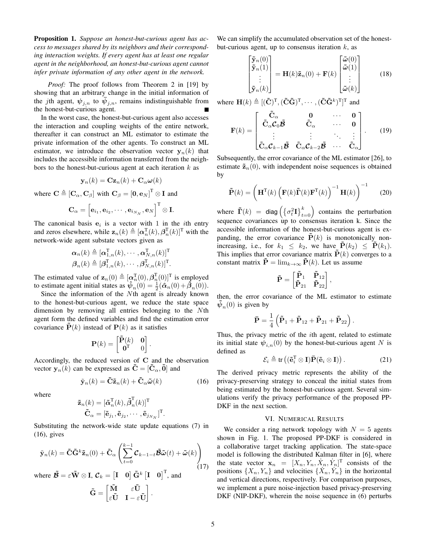Proposition 1. *Suppose an honest-but-curious agent has access to messages shared by its neighbors and their corresponding interaction weights. If every agent has at least one regular agent in the neighborhood, an honest-but-curious agent cannot infer private information of any other agent in the network.*

*Proof:* The proof follows from Theorem 2 in [19] by showing that an arbitrary change in the initial information of the *j*th agent,  $\psi_{j,n}$  to  $\overline{\psi}_{j,n}$ , remains indistinguishable from the honest-but-curious agent.

In the worst case, the honest-but-curious agent also accesses the interaction and coupling weights of the entire network, thereafter it can construct an ML estimator to estimate the private information of the other agents. To construct an ML estimator, we introduce the observation vector  $y_n(k)$  that includes the accessible information transferred from the neighbors to the honest-but-curious agent at each iteration  $k$  as

$$
\mathbf{y}_n(k) = \mathbf{C} \mathbf{z}_n(k) + \mathbf{C}_{\alpha} \boldsymbol{\omega}(k)
$$

where  $\mathbf{C} \triangleq [\mathbf{C}_{\alpha}, \mathbf{C}_{\beta}]$  with  $\mathbf{C}_{\beta} = [\mathbf{0}, \mathbf{e}_{N}]^{T} \otimes \mathbf{I}$  and

$$
\mathbf{C}_{\alpha}=\left[\mathbf{e}_{i_1}, \mathbf{e}_{i_2}, \cdots, \mathbf{e}_{i_{N_N}}, \mathbf{e}_N\right]^{\text{T}}\otimes \mathbf{I}.
$$

The canonical basis  $e_i$  is a vector with 1 in the *i*th entry and zeros elsewhere, while  $\mathbf{z}_n(k) \triangleq [\alpha_n^{\mathrm{T}}(k), \beta_n^{\mathrm{T}}(k)]^{\mathrm{T}}$  with the network-wide agent substate vectors given as

$$
\boldsymbol{\alpha}_n(k) \triangleq [\boldsymbol{\alpha}_{1,n}^{\mathrm{T}}(k),\cdots,\boldsymbol{\alpha}_{N,n}^{\mathrm{T}}(k)]^{\mathrm{T}} \boldsymbol{\beta}_n(k) \triangleq [\boldsymbol{\beta}_{1,n}^{\mathrm{T}}(k),\cdots,\boldsymbol{\beta}_{N,n}^{\mathrm{T}}(k)]^{\mathrm{T}}.
$$

The estimated value of  $\mathbf{z}_n(0) \triangleq [\alpha_n^{\mathrm{T}}(0), \beta_n^{\mathrm{T}}(0)]^{\mathrm{T}}$  is employed to estimate agent initial states as  $\hat{\psi}_n(0) = \frac{1}{2}(\hat{\alpha}_n(0) + \hat{\beta}_n(0)).$ 

Since the information of the Nth agent is already known to the honest-but-curious agent, we reduce the state space dimension by removing all entries belonging to the Nth agent form the defined variables and find the estimation error covariance  $P(k)$  instead of  $P(k)$  as it satisfies

$$
\mathbf{P}(k) = \begin{bmatrix} \tilde{\mathbf{P}}(k) & \mathbf{0} \\ \mathbf{0}^{\mathrm{T}} & 0 \end{bmatrix}.
$$

Accordingly, the reduced version of C and the observation vector  $y_n(k)$  can be expressed as  $\tilde{C} = [C_\alpha, \tilde{0}]$  and

$$
\tilde{\mathbf{y}}_n(k) = \tilde{\mathbf{C}} \tilde{\mathbf{z}}_n(k) + \tilde{\mathbf{C}}_\alpha \tilde{\boldsymbol{\omega}}(k)
$$
 (16)

.

where

$$
\tilde{\mathbf{z}}_n(k) = [\tilde{\boldsymbol{\alpha}}_n^{\mathrm{T}}(k), \tilde{\boldsymbol{\beta}}_n^{\mathrm{T}}(k)]^{\mathrm{T}} \tilde{\mathbf{C}}_{\alpha} = [\tilde{\mathbf{e}}_{j_1}, \tilde{\mathbf{e}}_{j_2}, \cdots, \tilde{\mathbf{e}}_{j_{N_N}}]^{\mathrm{T}}.
$$

Substituting the network-wide state update equations (7) in (16), gives

$$
\tilde{\mathbf{y}}_n(k) = \tilde{\mathbf{C}} \tilde{\mathbf{G}}^k \tilde{\mathbf{z}}_n(0) + \tilde{\mathbf{C}}_{\alpha} \left( \sum_{t=0}^{k-1} \mathcal{C}_{k-1-t} \tilde{\mathbf{B}} \tilde{\boldsymbol{\omega}}(t) + \tilde{\boldsymbol{\omega}}(k) \right)
$$
\n(17)

where  $\tilde{\mathcal{B}} = \varepsilon \tilde{\mathbf{W}} \otimes \mathbf{I}$ ,  $\mathcal{C}_k = \begin{bmatrix} \mathbf{I} & \mathbf{0} \end{bmatrix} \tilde{\mathbf{G}}^k \begin{bmatrix} \mathbf{I} & \mathbf{0} \end{bmatrix}^T$ , and

$$
\mathbf{\tilde{G}} = \begin{bmatrix} \mathbf{\tilde{M}} & \varepsilon \mathbf{\tilde{U}} \\ \varepsilon \mathbf{\tilde{U}} & \mathbf{I} - \varepsilon \mathbf{\tilde{U}} \end{bmatrix}
$$

We can simplify the accumulated observation set of the honestbut-curious agent, up to consensus iteration  $k$ , as

$$
\begin{bmatrix} \tilde{\mathbf{y}}_n(0) \\ \tilde{\mathbf{y}}_n(1) \\ \vdots \\ \tilde{\mathbf{y}}_n(k) \end{bmatrix} = \mathbf{H}(k)\tilde{\mathbf{z}}_n(0) + \mathbf{F}(k) \begin{bmatrix} \tilde{\boldsymbol{\omega}}(0) \\ \tilde{\boldsymbol{\omega}}(1) \\ \vdots \\ \tilde{\boldsymbol{\omega}}(k) \end{bmatrix}
$$
(18)

where  $\mathbf{H}(k) \triangleq [(\tilde{\mathbf{C}})^{\mathrm{T}}, (\tilde{\mathbf{C}}\tilde{\mathbf{G}})^{\mathrm{T}}, \cdots, (\tilde{\mathbf{C}}\tilde{\mathbf{G}}^k)^{\mathrm{T}}]^{\mathrm{T}}$  and

$$
\mathbf{F}(k) = \begin{bmatrix} \tilde{\mathbf{C}}_{\alpha} & \mathbf{0} & \cdots & \mathbf{0} \\ \tilde{\mathbf{C}}_{\alpha} \mathbf{C}_{0} \tilde{\mathbf{B}} & \tilde{\mathbf{C}}_{\alpha} & \cdots & \mathbf{0} \\ \vdots & \vdots & \ddots & \vdots \\ \tilde{\mathbf{C}}_{\alpha} \mathbf{C}_{k-1} \tilde{\mathbf{B}} & \tilde{\mathbf{C}}_{\alpha} \mathbf{C}_{k-2} \tilde{\mathbf{B}} & \cdots & \tilde{\mathbf{C}}_{\alpha} \end{bmatrix} .
$$
 (19)

Subsequently, the error covariance of the ML estimator [26], to estimate  $\tilde{\mathbf{z}}_n(0)$ , with independent noise sequences is obtained by

$$
\tilde{\mathbf{P}}(k) = \left(\mathbf{H}^{\mathrm{T}}(k)\left(\mathbf{F}(k)\tilde{\mathbf{\Gamma}}(k)\mathbf{F}^{\mathrm{T}}(k)\right)^{-1}\mathbf{H}(k)\right)^{-1} \quad (20)
$$

where  $\tilde{\mathbf{\Gamma}}(k) = \text{diag}\left( \left\{ \sigma_t^2 \mathbf{I} \right\}_{t=0}^k \right)$  contains the perturbation sequence covariances up to consensus iteration k. Since the accessible information of the honest-but-curious agent is expanding, the error covariance  $\mathbf{\tilde{P}}(k)$  is monotonically nonincreasing, i.e., for  $k_1 \leq k_2$ , we have  $\tilde{\mathbf{P}}(k_2) \leq \tilde{\mathbf{P}}(k_1)$ . This implies that error covariance matrix  $\tilde{\mathbf{P}}(k)$  converges to a constant matrix  $\tilde{\mathbf{P}} = \lim_{k \to \infty} \tilde{\mathbf{P}}(k)$ . Let us assume

$$
\tilde{\mathbf{P}} = \begin{bmatrix} \tilde{\mathbf{P}}_1 & \tilde{\mathbf{P}}_{12} \\ \tilde{\mathbf{P}}_{21} & \tilde{\mathbf{P}}_{22} \end{bmatrix},
$$

then, the error covariance of the ML estimator to estimate  $\tilde{\psi}_n(0)$  is given by

$$
\mathbf{\bar{P}} = \frac{1}{4} \left( \mathbf{\tilde{P}}_1 + \mathbf{\tilde{P}}_{12} + \mathbf{\tilde{P}}_{21} + \mathbf{\tilde{P}}_{22} \right).
$$

Thus, the privacy metric of the ith agent, related to estimate its initial state  $\psi_{i,n}(0)$  by the honest-but-curious agent N is defined as

$$
\mathcal{E}_i \triangleq \text{tr}\left( (\tilde{\mathbf{e}}_i^{\text{T}} \otimes \mathbf{I}) \bar{\mathbf{P}} (\tilde{\mathbf{e}}_i \otimes \mathbf{I}) \right). \tag{21}
$$

The derived privacy metric represents the ability of the privacy-preserving strategy to conceal the initial states from being estimated by the honest-but-curious agent. Several simulations verify the privacy performance of the proposed PP-DKF in the next section.

### VI. NUMERICAL RESULTS

We consider a ring network topology with  $N = 5$  agents shown in Fig. 1. The proposed PP-DKF is considered in a collaborative target tracking application. The state-space model is following the distributed Kalman filter in [6], where the state vector  $\mathbf{x}_n = [X_n, Y_n, \dot{X}_n, \dot{Y}_n]^T$  consists of the positions  $\{X_n, Y_n\}$  and velocities  $\{\dot{X}_n, \dot{Y}_n\}$  in the horizontal and vertical directions, respectively. For comparison purposes, we implement a pure noise-injection based privacy-preserving DKF (NIP-DKF), wherein the noise sequence in (6) perturbs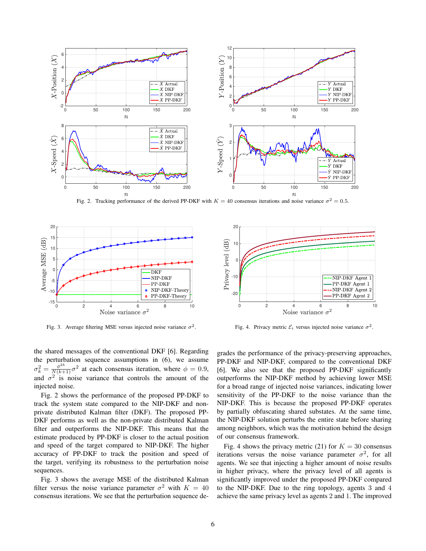

Fig. 2. Tracking performance of the derived PP-DKF with  $K = 40$  consensus iterations and noise variance  $\sigma^2 = 0.5$ .



Fig. 3. Average filtering MSE versus injected noise variance  $\sigma^2$ .



Fig. 2 shows the performance of the proposed PP-DKF to track the system state compared to the NIP-DKF and nonprivate distributed Kalman filter (DKF). The proposed PP-DKF performs as well as the non-private distributed Kalman filter and outperforms the NIP-DKF. This means that the estimate produced by PP-DKF is closer to the actual position and speed of the target compared to NIP-DKF. The higher accuracy of PP-DKF to track the position and speed of the target, verifying its robustness to the perturbation noise sequences.

Fig. 3 shows the average MSE of the distributed Kalman filter versus the noise variance parameter  $\sigma^2$  with  $K = 40$ consensus iterations. We see that the perturbation sequence de-



Fig. 4. Privacy metric  $\mathcal{E}_i$  versus injected noise variance  $\sigma^2$ .

grades the performance of the privacy-preserving approaches, PP-DKF and NIP-DKF, compared to the conventional DKF [6]. We also see that the proposed PP-DKF significantly outperforms the NIP-DKF method by achieving lower MSE for a broad range of injected noise variances, indicating lower sensitivity of the PP-DKF to the noise variance than the NIP-DKF. This is because the proposed PP-DKF operates by partially obfuscating shared substates. At the same time, the NIP-DKF solution perturbs the entire state before sharing among neighbors, which was the motivation behind the design of our consensus framework.

Fig. 4 shows the privacy metric (21) for  $K = 30$  consensus iterations versus the noise variance parameter  $\sigma^2$ , for all agents. We see that injecting a higher amount of noise results in higher privacy, where the privacy level of all agents is significantly improved under the proposed PP-DKF compared to the NIP-DKF. Due to the ring topology, agents 3 and 4 achieve the same privacy level as agents 2 and 1. The improved